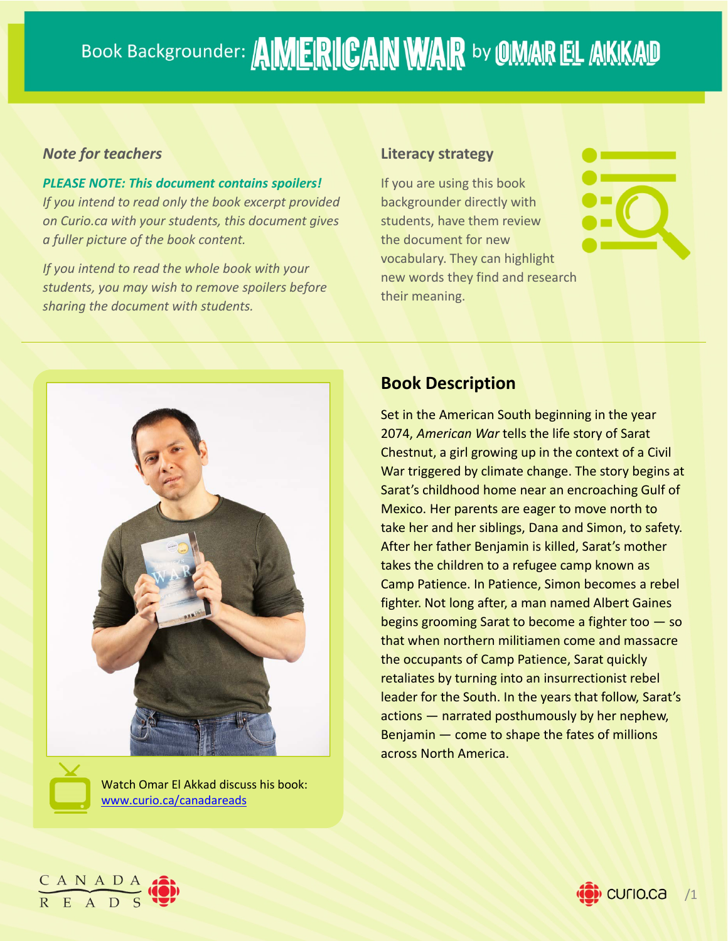## Book Backgrounder: AIMERICAN WAR by OMAR EL AKKAD

#### *Note for teachers*

*PLEASE NOTE: This document contains spoilers! If you intend to read only the book excerpt provided on Curio.ca with your students, this document gives a fuller picture of the book content.*

*If you intend to read the whole book with your students, you may wish to remove spoilers before sharing the document with students.*

#### **Literacy strategy**

If you are using this book backgrounder directly with students, have them review the document for new vocabulary. They can highlight new words they find and research their meaning.



Watch Omar El Akkad discuss his book: www.curio.ca/canadareads

#### **Book Description**

Set in the American South beginning in the year 2074, *American War* tells the life story of Sarat Chestnut, a girl growing up in the context of a Civil War triggered by climate change. The story begins at Sarat's childhood home near an encroaching Gulf of Mexico. Her parents are eager to move north to take her and her siblings, Dana and Simon, to safety. After her father Benjamin is killed, Sarat's mother takes the children to a refugee camp known as Camp Patience. In Patience, Simon becomes a rebel fighter. Not long after, a man named Albert Gaines begins grooming Sarat to become a fighter too — so that when northern militiamen come and massacre the occupants of Camp Patience, Sarat quickly retaliates by turning into an insurrectionist rebel leader for the South. In the years that follow, Sarat's actions — narrated posthumously by her nephew, Benjamin — come to shape the fates of millions across North America.



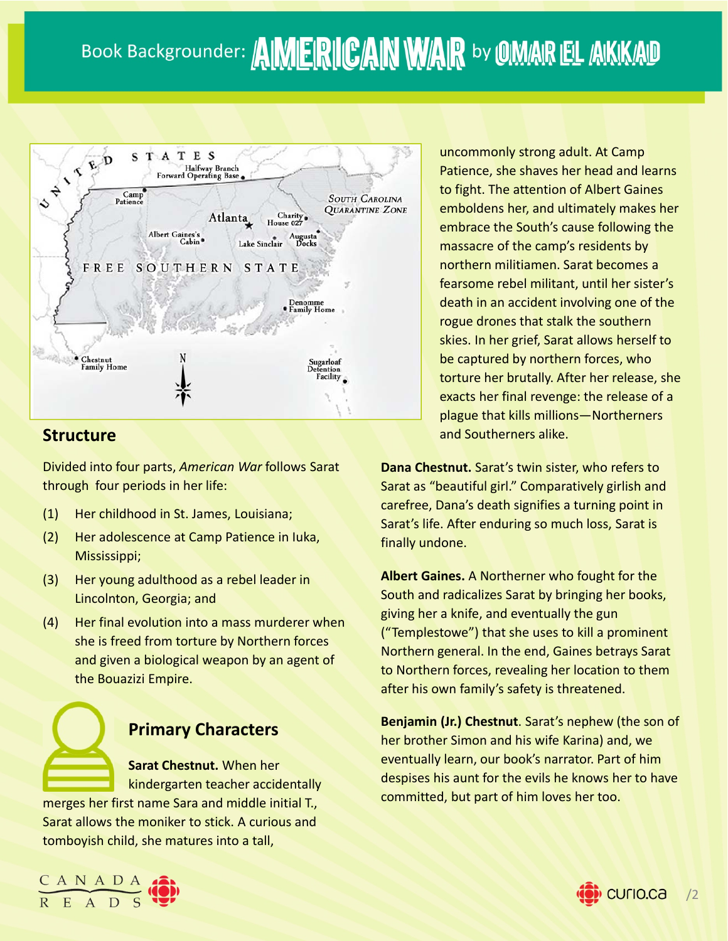

#### **Structure**

Divided into four parts, *American War* follows Sarat through four periods in her life:

- (1) Her childhood in St. James, Louisiana;
- (2) Her adolescence at Camp Patience in Iuka, Mississippi;
- (3) Her young adulthood as a rebel leader in Lincolnton, Georgia; and
- (4) Her final evolution into a mass murderer when she is freed from torture by Northern forces and given a biological weapon by an agent of the Bouazizi Empire.



### **Primary Characters**

**Sarat Chestnut.** When her kindergarten teacher accidentally

merges her first name Sara and middle initial T., Sarat allows the moniker to stick. A curious and tomboyish child, she matures into a tall,



uncommonly strong adult. At Camp Patience, she shaves her head and learns to fight. The attention of Albert Gaines emboldens her, and ultimately makes her embrace the South's cause following the massacre of the camp's residents by northern militiamen. Sarat becomes a fearsome rebel militant, until her sister's death in an accident involving one of the rogue drones that stalk the southern skies. In her grief, Sarat allows herself to be captured by northern forces, who torture her brutally. After her release, she exacts her final revenge: the release of a plague that kills millions—Northerners and Southerners alike.

**Dana Chestnut.** Sarat's twin sister, who refers to Sarat as "beautiful girl." Comparatively girlish and carefree, Dana's death signifies a turning point in Sarat's life. After enduring so much loss, Sarat is finally undone.

**Albert Gaines.** A Northerner who fought for the South and radicalizes Sarat by bringing her books, giving her a knife, and eventually the gun ("Templestowe") that she uses to kill a prominent Northern general. In the end, Gaines betrays Sarat to Northern forces, revealing her location to them after his own family's safety is threatened.

**Benjamin (Jr.) Chestnut**. Sarat's nephew (the son of her brother Simon and his wife Karina) and, we eventually learn, our book's narrator. Part of him despises his aunt for the evils he knows her to have committed, but part of him loves her too.

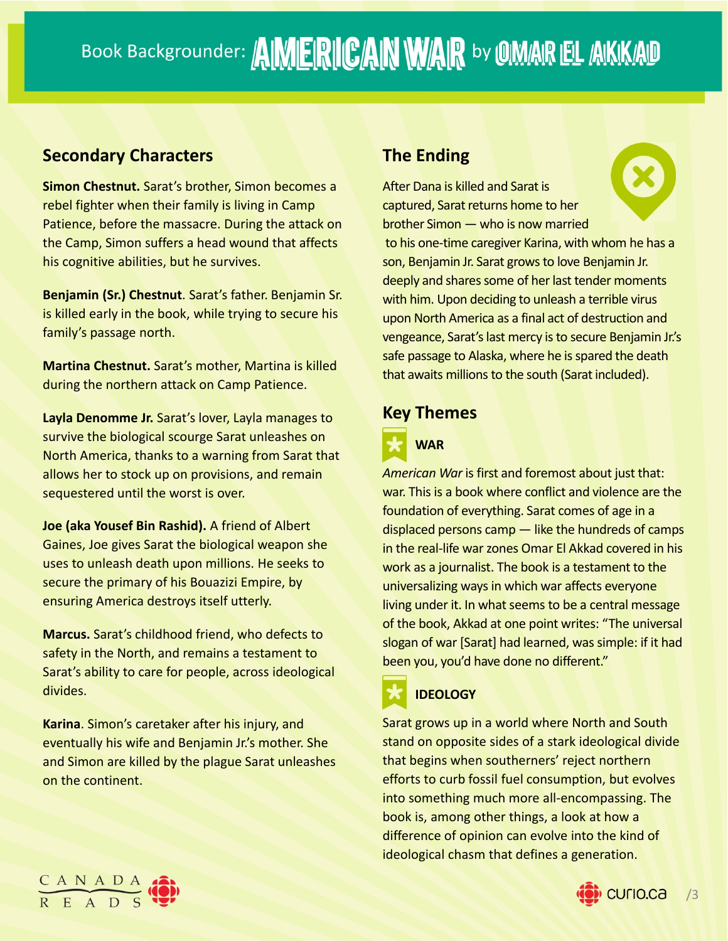#### **Secondary Characters**

**Simon Chestnut.** Sarat's brother, Simon becomes a rebel fighter when their family is living in Camp Patience, before the massacre. During the attack on the Camp, Simon suffers a head wound that affects his cognitive abilities, but he survives.

**Benjamin (Sr.) Chestnut**. Sarat's father. Benjamin Sr. is killed early in the book, while trying to secure his family's passage north.

**Martina Chestnut.** Sarat's mother, Martina is killed during the northern attack on Camp Patience.

**Layla Denomme Jr.** Sarat's lover, Layla manages to survive the biological scourge Sarat unleashes on North America, thanks to a warning from Sarat that allows her to stock up on provisions, and remain sequestered until the worst is over.

**Joe (aka Yousef Bin Rashid).** A friend of Albert Gaines, Joe gives Sarat the biological weapon she uses to unleash death upon millions. He seeks to secure the primary of his Bouazizi Empire, by ensuring America destroys itself utterly.

**Marcus.** Sarat's childhood friend, who defects to safety in the North, and remains a testament to Sarat's ability to care for people, across ideological divides.

**Karina**. Simon's caretaker after his injury, and eventually his wife and Benjamin Jr.'s mother. She and Simon are killed by the plague Sarat unleashes on the continent.

### **The Ending**

After Dana is killed and Sarat is captured, Sarat returns home to her brother Simon — who is now married to his one-time caregiver Karina, with whom he has a son, Benjamin Jr. Sarat grows to love Benjamin Jr. deeply and shares some of her last tender moments with him. Upon deciding to unleash a terrible virus upon North America as a final act of destruction and vengeance, Sarat's last mercy is to secure Benjamin Jr.'s safe passage to Alaska, where he is spared the death that awaits millions to the south (Sarat included).

#### **Key Themes**



*American War* is first and foremost about just that: war. This is a book where conflict and violence are the foundation of everything. Sarat comes of age in a displaced persons camp — like the hundreds of camps in the real-life war zones Omar El Akkad covered in his work as a journalist. The book is a testament to the universalizing ways in which war affects everyone living under it. In what seems to be a central message of the book, Akkad at one point writes: "The universal slogan of war [Sarat] had learned, was simple: if it had been you, you'd have done no different."

## **IDEOLOGY**

Sarat grows up in a world where North and South stand on opposite sides of a stark ideological divide that begins when southerners' reject northern efforts to curb fossil fuel consumption, but evolves into something much more all-encompassing. The book is, among other things, a look at how a difference of opinion can evolve into the kind of ideological chasm that defines a generation.



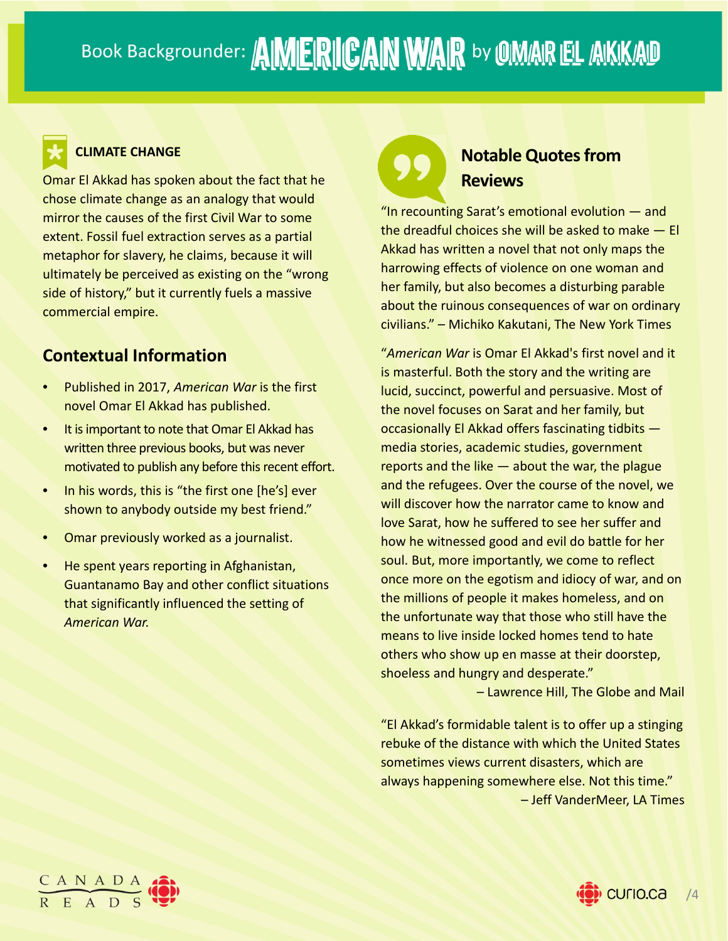

#### **CLIMATE CHANGE**

Omar El Akkad has spoken about the fact that he chose climate change as an analogy that would mirror the causes of the first Civil War to some extent. Fossil fuel extraction serves as a partial metaphor for slavery, he claims, because it will ultimately be perceived as existing on the "wrong side of history," but it currently fuels a massive commercial empire.

#### **Contextual Information**

- Published in 2017, *American War* is the first novel Omar El Akkad has published.
- It isimportant to note that Omar El Akkad has written three previous books, but was never motivated to publish any before this recent effort.
- In his words, this is "the first one [he's] ever shown to anybody outside my best friend."
- Omar previously worked as a journalist.
- He spent years reporting in Afghanistan, Guantanamo Bay and other conflict situations that significantly influenced the setting of *American War.*

## **Notable Quotes from Reviews**

"In recounting Sarat's emotional evolution — and the dreadful choices she will be asked to make — El Akkad has written a novel that not only maps the harrowing effects of violence on one woman and her family, but also becomes a disturbing parable about the ruinous consequences of war on ordinary civilians." – Michiko Kakutani, The New York Times

"*American War* is Omar El Akkad's first novel and it is masterful. Both the story and the writing are lucid, succinct, powerful and persuasive. Most of the novel focuses on Sarat and her family, but occasionally El Akkad offers fascinating tidbits media stories, academic studies, government reports and the like  $-$  about the war, the plague and the refugees. Over the course of the novel, we will discover how the narrator came to know and love Sarat, how he suffered to see her suffer and how he witnessed good and evil do battle for her soul. But, more importantly, we come to reflect once more on the egotism and idiocy of war, and on the millions of people it makes homeless, and on the unfortunate way that those who still have the means to live inside locked homes tend to hate others who show up en masse at their doorstep, shoeless and hungry and desperate."

– Lawrence Hill, The Globe and Mail

"El Akkad's formidable talent is to offer up a stinging rebuke of the distance with which the United States sometimes views current disasters, which are always happening somewhere else. Not this time." – Jeff VanderMeer, LA Times



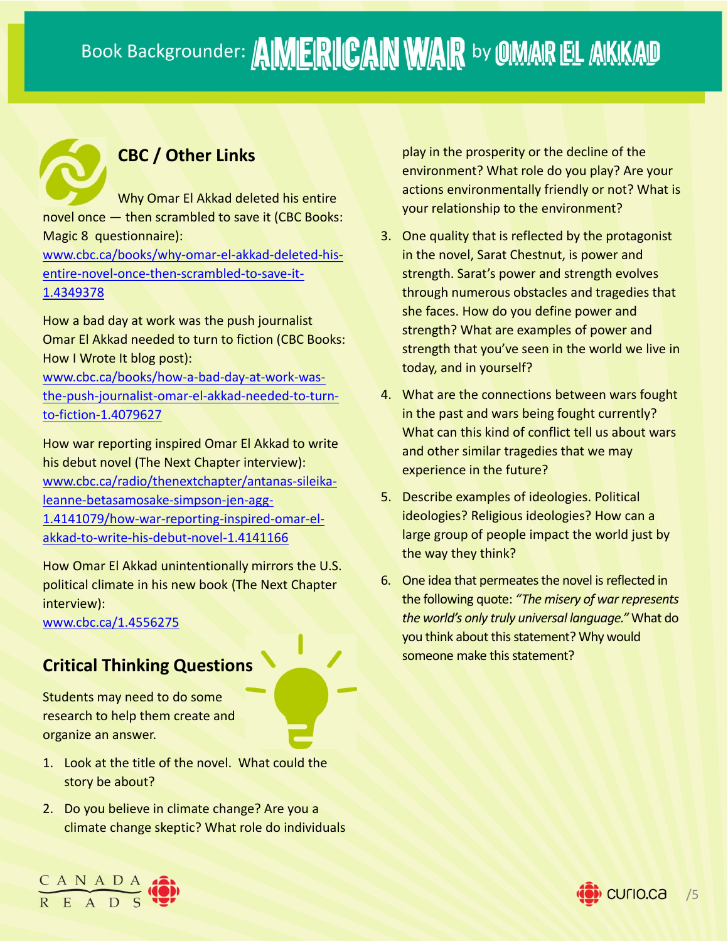## **CBC / Other Links**

Why Omar El Akkad deleted his entire novel once — then scrambled to save it (CBC Books: Magic 8 questionnaire):

www.cbc.ca/books/why‐omar‐el‐akkad‐deleted‐his‐ entire‐novel‐once‐then‐scrambled‐to‐save‐it‐ 1.4349378

How a bad day at work was the push journalist Omar El Akkad needed to turn to fiction (CBC Books: How I Wrote It blog post):

www.cbc.ca/books/how‐a‐bad‐day‐at‐work‐was‐ the‐push‐journalist‐omar‐el‐akkad‐needed‐to‐turn‐ to‐fiction‐1.4079627

How war reporting inspired Omar El Akkad to write his debut novel (The Next Chapter interview): www.cbc.ca/radio/thenextchapter/antanas‐sileika‐ leanne‐betasamosake‐simpson‐jen‐agg‐ 1.4141079/how‐war‐reporting‐inspired‐omar‐el‐ akkad‐to‐write‐his‐debut‐novel‐1.4141166

How Omar El Akkad unintentionally mirrors the U.S. political climate in his new book (The Next Chapter interview):

www.cbc.ca/1.4556275

 $\frac{C A N A D A}{R F A D S}$ 

## **Critical Thinking Questions**

Students may need to do some research to help them create and organize an answer.

- 1. Look at the title of the novel. What could the story be about?
- 2. Do you believe in climate change? Are you a climate change skeptic? What role do individuals

play in the prosperity or the decline of the environment? What role do you play? Are your actions environmentally friendly or not? What is your relationship to the environment?

- 3. One quality that is reflected by the protagonist in the novel, Sarat Chestnut, is power and strength. Sarat's power and strength evolves through numerous obstacles and tragedies that she faces. How do you define power and strength? What are examples of power and strength that you've seen in the world we live in today, and in yourself?
- 4. What are the connections between wars fought in the past and wars being fought currently? What can this kind of conflict tell us about wars and other similar tragedies that we may experience in the future?
- 5. Describe examples of ideologies. Political ideologies? Religious ideologies? How can a large group of people impact the world just by the way they think?
- 6. One idea that permeates the novel is reflected in the following quote: *"The misery of war represents the world's only truly universal language."* What do you think about this statement? Why would someone make this statement?